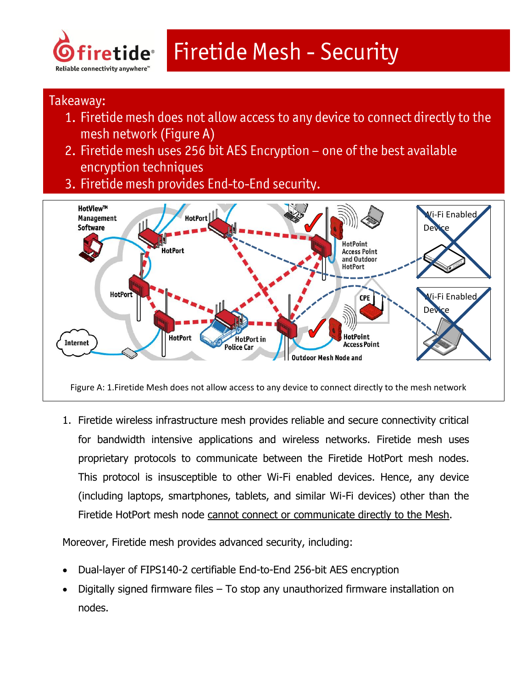

# **Firetide Mesh - Security**

## Takeaway:

- 1. Firetide mesh does not allow access to any device to connect directly to the mesh network (Figure A)
- 2. Firetide mesh uses 256 bit AES Encryption one of the best available encryption techniques
- 3. Firetide mesh provides End-to-End security.



Figure A: 1.Firetide Mesh does not allow access to any device to connect directly to the mesh network

1. Firetide wireless infrastructure mesh provides reliable and secure connectivity critical for bandwidth intensive applications and wireless networks. Firetide mesh uses proprietary protocols to communicate between the Firetide HotPort mesh nodes. This protocol is insusceptible to other Wi-Fi enabled devices. Hence, any device (including laptops, smartphones, tablets, and similar Wi-Fi devices) other than the Firetide HotPort mesh node cannot connect or communicate directly to the Mesh.

Moreover, Firetide mesh provides advanced security, including:

- Dual-layer of FIPS140-2 certifiable End-to-End 256-bit AES encryption
- Digitally signed firmware files To stop any unauthorized firmware installation on nodes.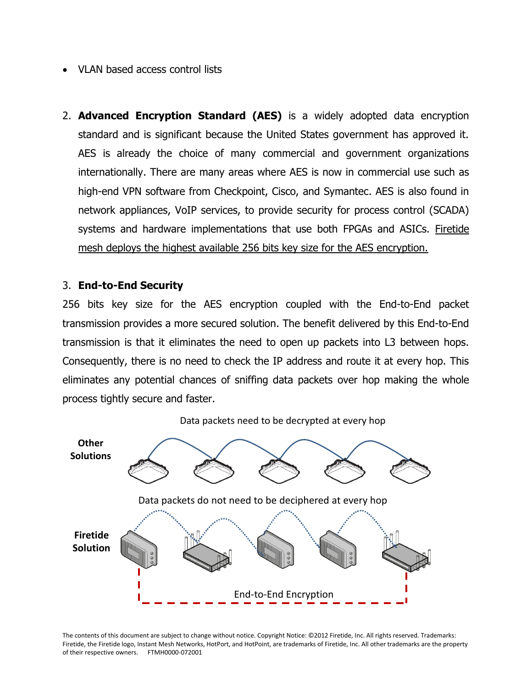- VLAN based access control lists
- 2. **Advanced Encryption Standard (AES)** is a widely adopted data encryption standard and is significant because the United States government has approved it. AES is already the choice of many commercial and government organizations internationally. There are many areas where AES is now in commercial use such as high-end VPN software from Checkpoint, Cisco, and Symantec. AES is also found in network appliances, VoIP services, to provide security for process control (SCADA) systems and hardware implementations that use both FPGAs and ASICs. Firetide mesh deploys the highest available 256 bits key size for the AES encryption.

#### 3. **End-to-End Security**

256 bits key size for the AES encryption coupled with the End-to-End packet transmission provides a more secured solution. The benefit delivered by this End-to-End transmission is that it eliminates the need to open up packets into L3 between hops. Consequently, there is no need to check the IP address and route it at every hop. This eliminates any potential chances of sniffing data packets over hop making the whole process tightly secure and faster.



Data packets need to be decrypted at every hop

The contents of this document are subject to change without notice. Copyright Notice: ©2012 Firetide, Inc. All rights reserved. Trademarks: Firetide, the Firetide logo, Instant Mesh Networks, HotPort, and HotPoint, are trademarks of Firetide, Inc. All other trademarks are the property of their respective owners. FTMH0000-072001